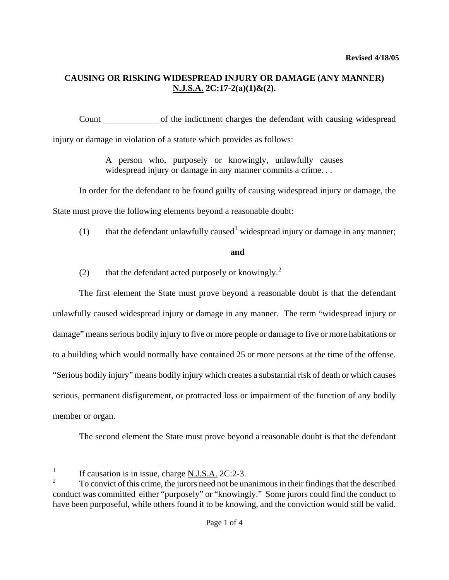# **CAUSING OR RISKING WIDESPREAD INJURY OR DAMAGE (ANY MANNER) N.J.S.A. 2C:17-2(a)(1)&(2).**

Count of the indictment charges the defendant with causing widespread injury or damage in violation of a statute which provides as follows:

> A person who, purposely or knowingly, unlawfully causes widespread injury or damage in any manner commits a crime...

In order for the defendant to be found guilty of causing widespread injury or damage, the State must prove the following elements beyond a reasonable doubt:

([1](#page-0-0)) that the defendant unlawfully caused  $\mu$  widespread injury or damage in any manner;

**and** 

([2](#page-0-1)) that the defendant acted purposely or knowingly.<sup>2</sup>

The first element the State must prove beyond a reasonable doubt is that the defendant unlawfully caused widespread injury or damage in any manner. The term "widespread injury or damage" means serious bodily injury to five or more people or damage to five or more habitations or to a building which would normally have contained 25 or more persons at the time of the offense. "Serious bodily injury" means bodily injury which creates a substantial risk of death or which causes serious, permanent disfigurement, or protracted loss or impairment of the function of any bodily member or organ.

The second element the State must prove beyond a reasonable doubt is that the defendant

<span id="page-0-0"></span> $\frac{1}{1}$ If causation is in issue, charge N.J.S.A. 2C:2-3.

<span id="page-0-2"></span><span id="page-0-1"></span><sup>2</sup> To convict of this crime, the jurors need not be unanimous in their findings that the described conduct was committed either "purposely" or "knowingly." Some jurors could find the conduct to have been purposeful, while others found it to be knowing, and the conviction would still be valid.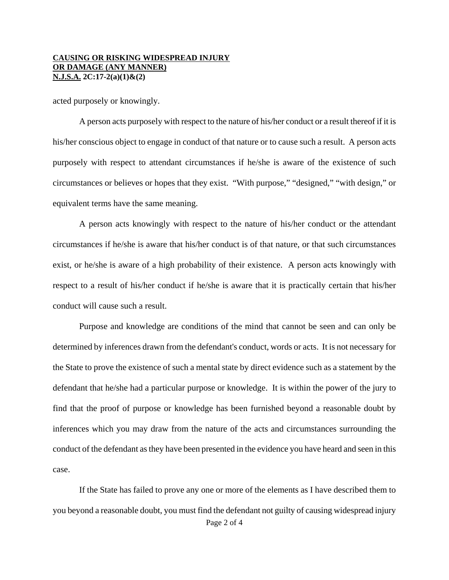#### **CAUSING OR RISKING WIDESPREAD INJURY OR DAMAGE (ANY MANNER) N.J.S.A. 2C:17-2(a)(1)&(2)**

acted purposely or knowingly.

A person acts purposely with respect to the nature of his/her conduct or a result thereof if it is his/her conscious object to engage in conduct of that nature or to cause such a result. A person acts purposely with respect to attendant circumstances if he/she is aware of the existence of such circumstances or believes or hopes that they exist. "With purpose," "designed," "with design," or equivalent terms have the same meaning.

A person acts knowingly with respect to the nature of his/her conduct or the attendant circumstances if he/she is aware that his/her conduct is of that nature, or that such circumstances exist, or he/she is aware of a high probability of their existence. A person acts knowingly with respect to a result of his/her conduct if he/she is aware that it is practically certain that his/her conduct will cause such a result.

Purpose and knowledge are conditions of the mind that cannot be seen and can only be determined by inferences drawn from the defendant's conduct, words or acts. It is not necessary for the State to prove the existence of such a mental state by direct evidence such as a statement by the defendant that he/she had a particular purpose or knowledge. It is within the power of the jury to find that the proof of purpose or knowledge has been furnished beyond a reasonable doubt by inferences which you may draw from the nature of the acts and circumstances surrounding the conduct of the defendant as they have been presented in the evidence you have heard and seen in this case.

Page 2 of 4 If the State has failed to prove any one or more of the elements as I have described them to you beyond a reasonable doubt, you must find the defendant not guilty of causing widespread injury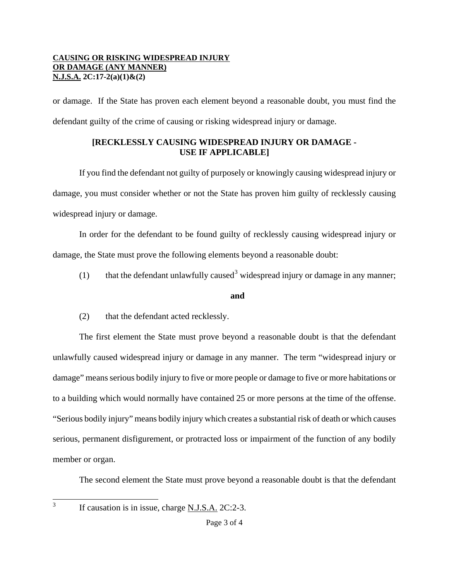### **CAUSING OR RISKING WIDESPREAD INJURY OR DAMAGE (ANY MANNER) N.J.S.A. 2C:17-2(a)(1)&(2)**

or damage. If the State has proven each element beyond a reasonable doubt, you must find the defendant guilty of the crime of causing or risking widespread injury or damage.

## **[RECKLESSLY CAUSING WIDESPREAD INJURY OR DAMAGE - USE IF APPLICABLE]**

If you find the defendant not guilty of purposely or knowingly causing widespread injury or damage, you must consider whether or not the State has proven him guilty of recklessly causing widespread injury or damage.

In order for the defendant to be found guilty of recklessly causing widespread injury or damage, the State must prove the following elements beyond a reasonable doubt:

(1) that the defendant unlawfully caused<sup>[3](#page-0-2)</sup> widespread injury or damage in any manner;

### **and**

(2) that the defendant acted recklessly.

The first element the State must prove beyond a reasonable doubt is that the defendant unlawfully caused widespread injury or damage in any manner. The term "widespread injury or damage" means serious bodily injury to five or more people or damage to five or more habitations or to a building which would normally have contained 25 or more persons at the time of the offense. "Serious bodily injury" means bodily injury which creates a substantial risk of death or which causes serious, permanent disfigurement, or protracted loss or impairment of the function of any bodily member or organ.

The second element the State must prove beyond a reasonable doubt is that the defendant

<span id="page-2-0"></span>3

If causation is in issue, charge N.J.S.A. 2C:2-3.